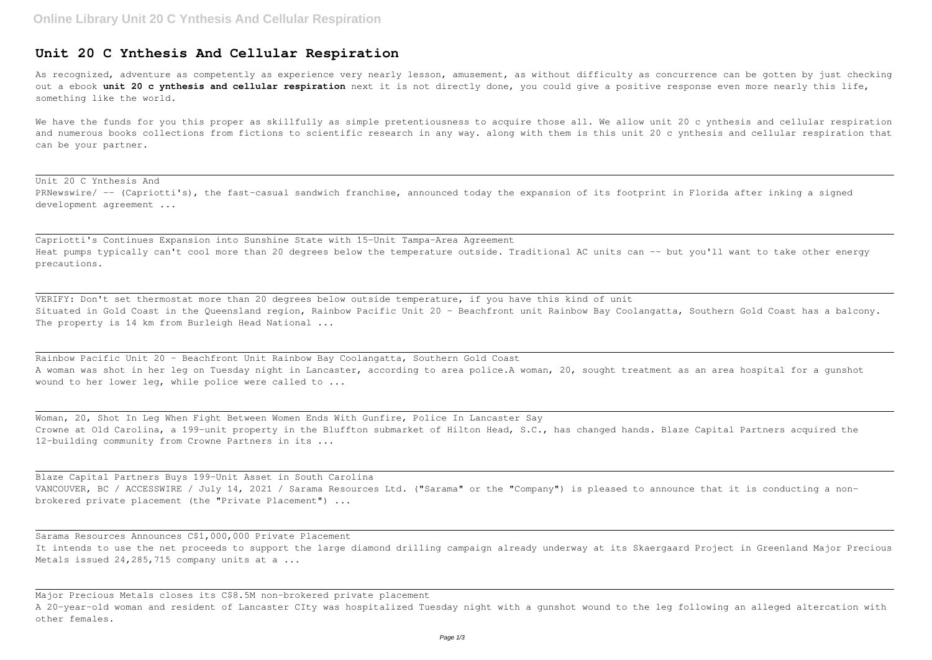## **Unit 20 C Ynthesis And Cellular Respiration**

As recognized, adventure as competently as experience very nearly lesson, amusement, as without difficulty as concurrence can be gotten by just checking out a ebook **unit 20 c ynthesis and cellular respiration** next it is not directly done, you could give a positive response even more nearly this life, something like the world.

We have the funds for you this proper as skillfully as simple pretentiousness to acquire those all. We allow unit 20 c ynthesis and cellular respiration and numerous books collections from fictions to scientific research in any way. along with them is this unit 20 c ynthesis and cellular respiration that can be your partner.

VERIFY: Don't set thermostat more than 20 degrees below outside temperature, if you have this kind of unit Situated in Gold Coast in the Queensland region, Rainbow Pacific Unit 20 - Beachfront unit Rainbow Bay Coolangatta, Southern Gold Coast has a balcony. The property is 14 km from Burleigh Head National ...

Rainbow Pacific Unit 20 - Beachfront Unit Rainbow Bay Coolangatta, Southern Gold Coast A woman was shot in her leg on Tuesday night in Lancaster, according to area police.A woman, 20, sought treatment as an area hospital for a gunshot wound to her lower leg, while police were called to ...

Unit 20 C Ynthesis And PRNewswire/ -- (Capriotti's), the fast-casual sandwich franchise, announced today the expansion of its footprint in Florida after inking a signed development agreement ...

Capriotti's Continues Expansion into Sunshine State with 15-Unit Tampa-Area Agreement Heat pumps typically can't cool more than 20 degrees below the temperature outside. Traditional AC units can -- but you'll want to take other energy precautions.

Sarama Resources Announces C\$1,000,000 Private Placement It intends to use the net proceeds to support the large diamond drilling campaign already underway at its Skaergaard Project in Greenland Major Precious Metals issued 24, 285, 715 company units at a ...

Woman, 20, Shot In Leg When Fight Between Women Ends With Gunfire, Police In Lancaster Say Crowne at Old Carolina, a 199-unit property in the Bluffton submarket of Hilton Head, S.C., has changed hands. Blaze Capital Partners acquired the 12-building community from Crowne Partners in its ...

Blaze Capital Partners Buys 199-Unit Asset in South Carolina VANCOUVER, BC / ACCESSWIRE / July 14, 2021 / Sarama Resources Ltd. ("Sarama" or the "Company") is pleased to announce that it is conducting a nonbrokered private placement (the "Private Placement") ...

Major Precious Metals closes its C\$8.5M non-brokered private placement A 20-year-old woman and resident of Lancaster CIty was hospitalized Tuesday night with a gunshot wound to the leg following an alleged altercation with other females.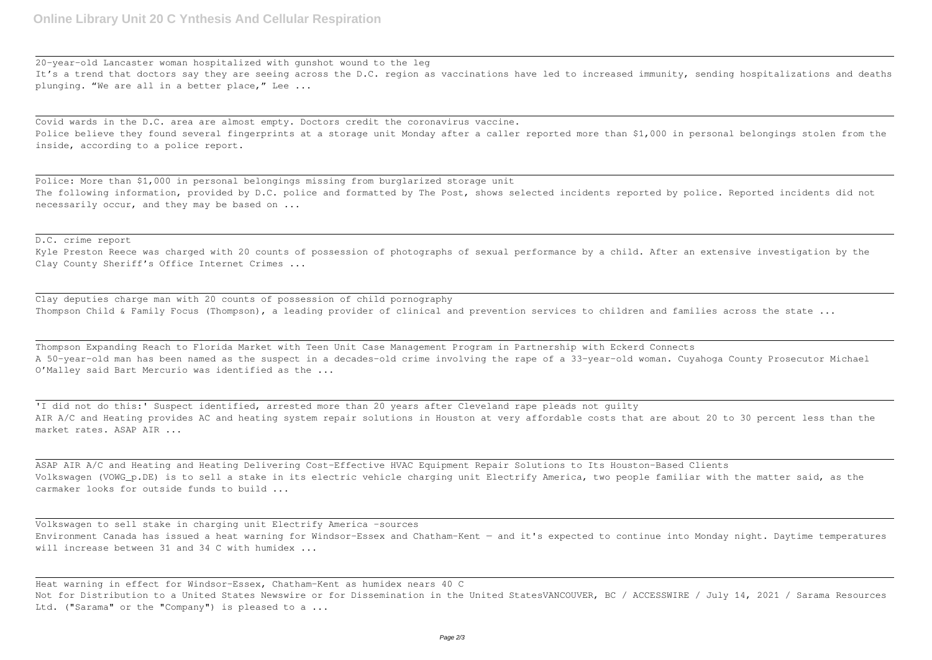20-year-old Lancaster woman hospitalized with gunshot wound to the leg It's a trend that doctors say they are seeing across the D.C. region as vaccinations have led to increased immunity, sending hospitalizations and deaths plunging. "We are all in a better place," Lee ...

Covid wards in the D.C. area are almost empty. Doctors credit the coronavirus vaccine. Police believe they found several fingerprints at a storage unit Monday after a caller reported more than \$1,000 in personal belongings stolen from the inside, according to a police report.

Clay deputies charge man with 20 counts of possession of child pornography Thompson Child & Family Focus (Thompson), a leading provider of clinical and prevention services to children and families across the state ...

Police: More than \$1,000 in personal belongings missing from burglarized storage unit The following information, provided by D.C. police and formatted by The Post, shows selected incidents reported by police. Reported incidents did not necessarily occur, and they may be based on ...

## D.C. crime report

'I did not do this:' Suspect identified, arrested more than 20 years after Cleveland rape pleads not quilty AIR A/C and Heating provides AC and heating system repair solutions in Houston at very affordable costs that are about 20 to 30 percent less than the market rates. ASAP AIR ...

Kyle Preston Reece was charged with 20 counts of possession of photographs of sexual performance by a child. After an extensive investigation by the Clay County Sheriff's Office Internet Crimes ...

Volkswagen to sell stake in charging unit Electrify America -sources Environment Canada has issued a heat warning for Windsor-Essex and Chatham-Kent — and it's expected to continue into Monday night. Daytime temperatures will increase between 31 and 34 C with humidex ...

Thompson Expanding Reach to Florida Market with Teen Unit Case Management Program in Partnership with Eckerd Connects A 50-year-old man has been named as the suspect in a decades-old crime involving the rape of a 33-year-old woman. Cuyahoga County Prosecutor Michael O'Malley said Bart Mercurio was identified as the ...

ASAP AIR A/C and Heating and Heating Delivering Cost-Effective HVAC Equipment Repair Solutions to Its Houston-Based Clients Volkswagen (VOWG\_p.DE) is to sell a stake in its electric vehicle charging unit Electrify America, two people familiar with the matter said, as the carmaker looks for outside funds to build ...

Heat warning in effect for Windsor-Essex, Chatham-Kent as humidex nears 40 C Not for Distribution to a United States Newswire or for Dissemination in the United StatesVANCOUVER, BC / ACCESSWIRE / July 14, 2021 / Sarama Resources Ltd. ("Sarama" or the "Company") is pleased to a ...